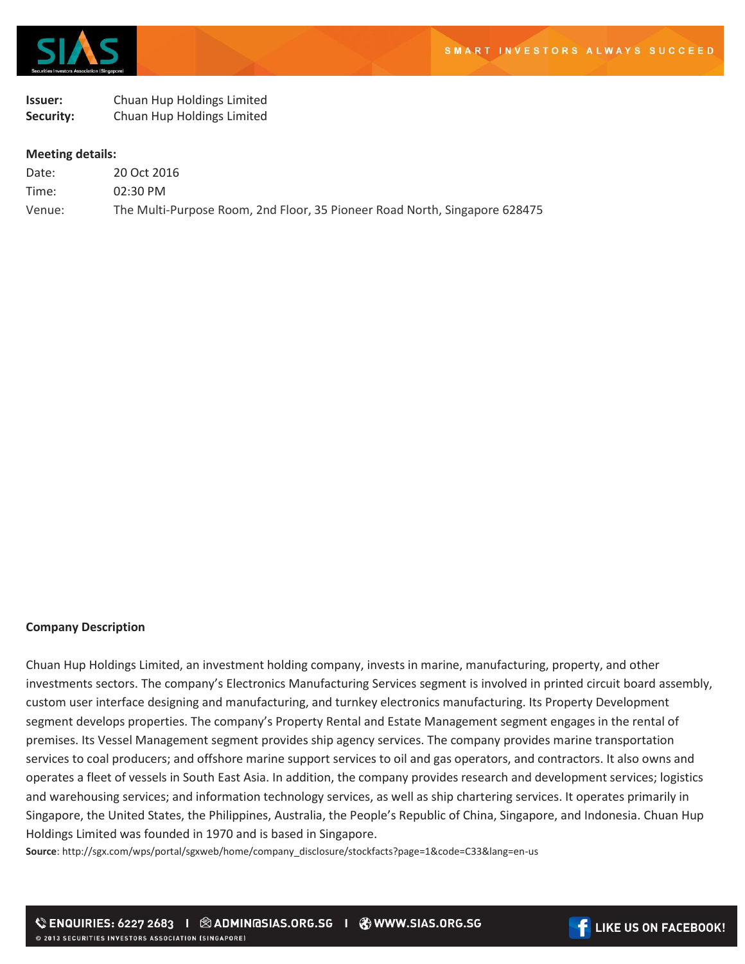

## **Issuer:** Chuan Hup Holdings Limited **Security:** Chuan Hup Holdings Limited

## **Meeting details:**

| Date:  | 20 Oct 2016                                                                |
|--------|----------------------------------------------------------------------------|
| Time:  | $02:30 \text{ PM}$                                                         |
| Venue: | The Multi-Purpose Room, 2nd Floor, 35 Pioneer Road North, Singapore 628475 |

## **Company Description**

Chuan Hup Holdings Limited, an investment holding company, invests in marine, manufacturing, property, and other investments sectors. The company's Electronics Manufacturing Services segment is involved in printed circuit board assembly, custom user interface designing and manufacturing, and turnkey electronics manufacturing. Its Property Development segment develops properties. The company's Property Rental and Estate Management segment engages in the rental of premises. Its Vessel Management segment provides ship agency services. The company provides marine transportation services to coal producers; and offshore marine support services to oil and gas operators, and contractors. It also owns and operates a fleet of vessels in South East Asia. In addition, the company provides research and development services; logistics and warehousing services; and information technology services, as well as ship chartering services. It operates primarily in Singapore, the United States, the Philippines, Australia, the People's Republic of China, Singapore, and Indonesia. Chuan Hup Holdings Limited was founded in 1970 and is based in Singapore.

**Source**: http://sgx.com/wps/portal/sgxweb/home/company\_disclosure/stockfacts?page=1&code=C33&lang=en-us

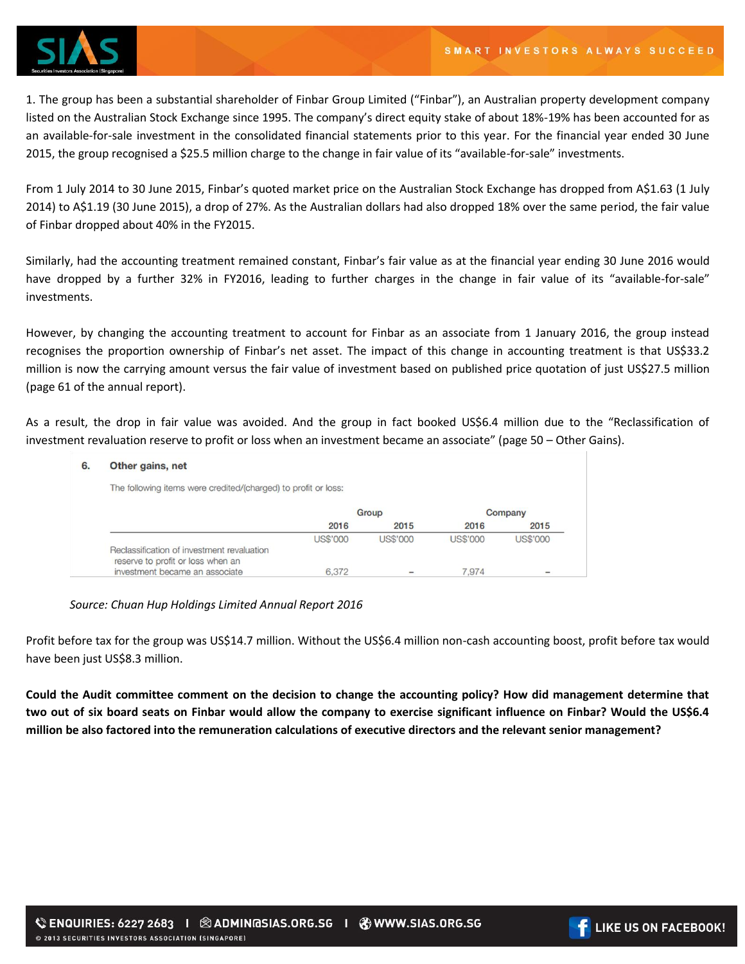

1. The group has been a substantial shareholder of Finbar Group Limited ("Finbar"), an Australian property development company listed on the Australian Stock Exchange since 1995. The company's direct equity stake of about 18%-19% has been accounted for as an available-for-sale investment in the consolidated financial statements prior to this year. For the financial year ended 30 June 2015, the group recognised a \$25.5 million charge to the change in fair value of its "available-for-sale" investments.

From 1 July 2014 to 30 June 2015, Finbar's quoted market price on the Australian Stock Exchange has dropped from A\$1.63 (1 July 2014) to A\$1.19 (30 June 2015), a drop of 27%. As the Australian dollars had also dropped 18% over the same period, the fair value of Finbar dropped about 40% in the FY2015.

Similarly, had the accounting treatment remained constant, Finbar's fair value as at the financial year ending 30 June 2016 would have dropped by a further 32% in FY2016, leading to further charges in the change in fair value of its "available-for-sale" investments.

However, by changing the accounting treatment to account for Finbar as an associate from 1 January 2016, the group instead recognises the proportion ownership of Finbar's net asset. The impact of this change in accounting treatment is that US\$33.2 million is now the carrying amount versus the fair value of investment based on published price quotation of just US\$27.5 million (page 61 of the annual report).

As a result, the drop in fair value was avoided. And the group in fact booked US\$6.4 million due to the "Reclassification of investment revaluation reserve to profit or loss when an investment became an associate" (page 50 – Other Gains).

## 6. Other gains, net

The following items were credited/(charged) to profit or loss:

|                                                                                 | Group           |                 | Company         |                 |
|---------------------------------------------------------------------------------|-----------------|-----------------|-----------------|-----------------|
|                                                                                 | 2016            | 2015            | 2016            | 2015            |
|                                                                                 | <b>US\$'000</b> | <b>US\$'000</b> | <b>US\$'000</b> | <b>US\$'000</b> |
| Reclassification of investment revaluation<br>reserve to profit or loss when an |                 |                 |                 |                 |
| investment became an associate                                                  | 6,372           |                 | 7.974           |                 |

*Source: Chuan Hup Holdings Limited Annual Report 2016*

Profit before tax for the group was US\$14.7 million. Without the US\$6.4 million non-cash accounting boost, profit before tax would have been just US\$8.3 million.

**Could the Audit committee comment on the decision to change the accounting policy? How did management determine that two out of six board seats on Finbar would allow the company to exercise significant influence on Finbar? Would the US\$6.4 million be also factored into the remuneration calculations of executive directors and the relevant senior management?** 

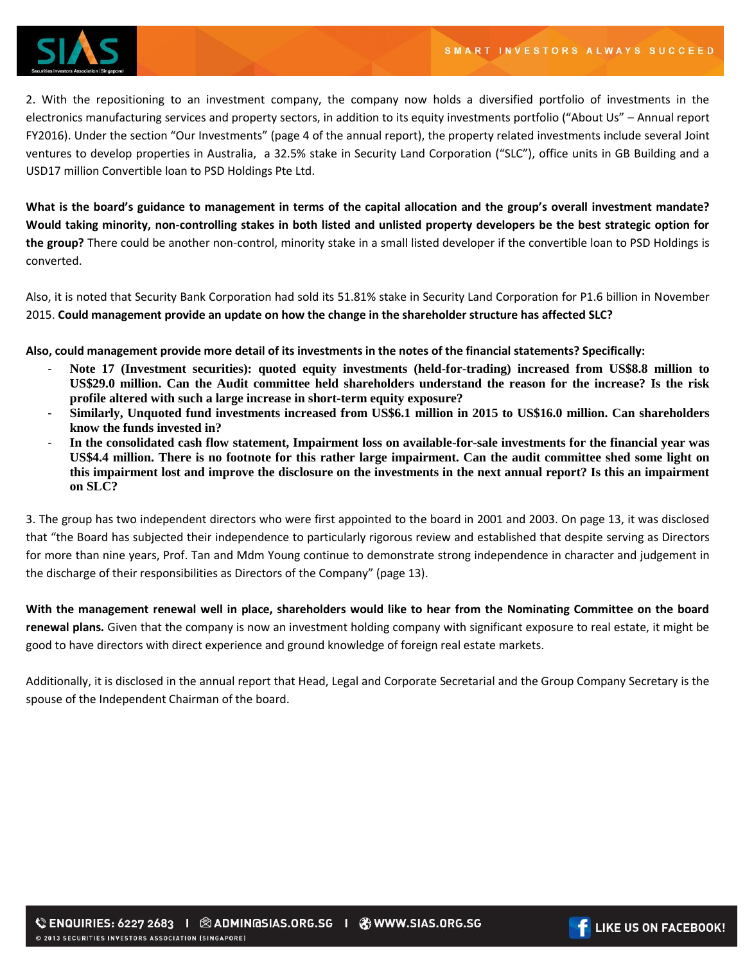

2. With the repositioning to an investment company, the company now holds a diversified portfolio of investments in the electronics manufacturing services and property sectors, in addition to its equity investments portfolio ("About Us" – Annual report FY2016). Under the section "Our Investments" (page 4 of the annual report), the property related investments include several Joint ventures to develop properties in Australia, a 32.5% stake in Security Land Corporation ("SLC"), office units in GB Building and a USD17 million Convertible loan to PSD Holdings Pte Ltd.

**What is the board's guidance to management in terms of the capital allocation and the group's overall investment mandate? Would taking minority, non-controlling stakes in both listed and unlisted property developers be the best strategic option for the group?** There could be another non-control, minority stake in a small listed developer if the convertible loan to PSD Holdings is converted.

Also, it is noted that Security Bank Corporation had sold its 51.81% stake in Security Land Corporation for P1.6 billion in November 2015. **Could management provide an update on how the change in the shareholder structure has affected SLC?**

**Also, could management provide more detail of its investments in the notes of the financial statements? Specifically:** 

- **Note 17 (Investment securities): quoted equity investments (held-for-trading) increased from US\$8.8 million to US\$29.0 million. Can the Audit committee held shareholders understand the reason for the increase? Is the risk profile altered with such a large increase in short-term equity exposure?**
- **Similarly, Unquoted fund investments increased from US\$6.1 million in 2015 to US\$16.0 million. Can shareholders know the funds invested in?**
- **In the consolidated cash flow statement, Impairment loss on available-for-sale investments for the financial year was US\$4.4 million. There is no footnote for this rather large impairment. Can the audit committee shed some light on this impairment lost and improve the disclosure on the investments in the next annual report? Is this an impairment on SLC?**

3. The group has two independent directors who were first appointed to the board in 2001 and 2003. On page 13, it was disclosed that "the Board has subjected their independence to particularly rigorous review and established that despite serving as Directors for more than nine years, Prof. Tan and Mdm Young continue to demonstrate strong independence in character and judgement in the discharge of their responsibilities as Directors of the Company" (page 13).

**With the management renewal well in place, shareholders would like to hear from the Nominating Committee on the board renewal plans.** Given that the company is now an investment holding company with significant exposure to real estate, it might be good to have directors with direct experience and ground knowledge of foreign real estate markets.

Additionally, it is disclosed in the annual report that Head, Legal and Corporate Secretarial and the Group Company Secretary is the spouse of the Independent Chairman of the board.